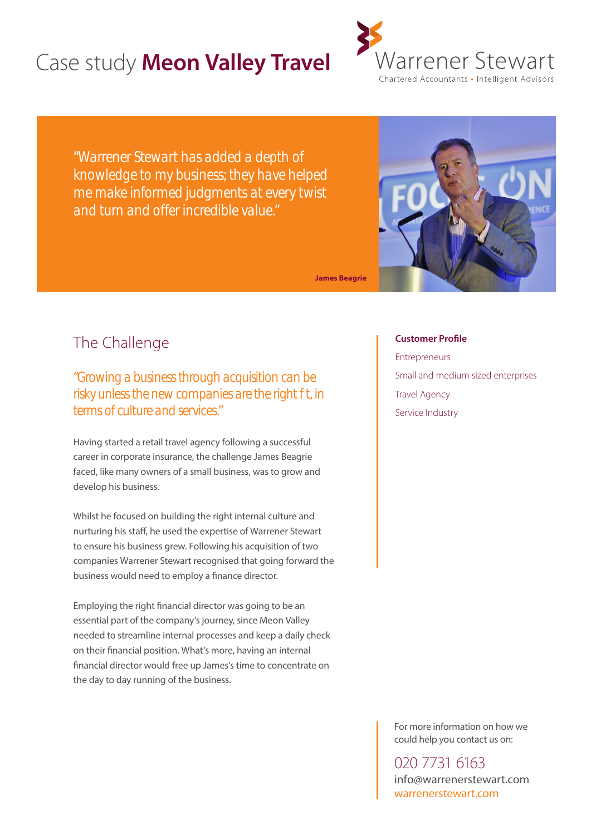# Case study **Meon Valley Travel**



*"Warrener Stewart has added a depth of knowledge to my business; they have helped me make informed judgments at every twist and turn and offer incredible value."*

**James Beagrie**

## The Challenge

*"Growing a business through acquisition can be*  risky unless the new companies are the right t, in *terms of culture and services."* 

Having started a retail travel agency following a successful career in corporate insurance, the challenge James Beagrie faced, like many owners of a small business, was to grow and develop his business.

Whilst he focused on building the right internal culture and nurturing his staff, he used the expertise of Warrener Stewart to ensure his business grew. Following his acquisition of two companies Warrener Stewart recognised that going forward the business would need to employ a finance director.

Employing the right financial director was going to be an essential part of the company's journey, since Meon Valley needed to streamline internal processes and keep a daily check on their financial position. What's more, having an internal financial director would free up James's time to concentrate on the day to day running of the business.

**Customer Profile**

Entrepreneurs Small and medium sized enterprises Travel Agency Service Industry

For more information on how we could help you contact us on:

020 7731 6163 info@warrenerstewart.com warrenerstewart.com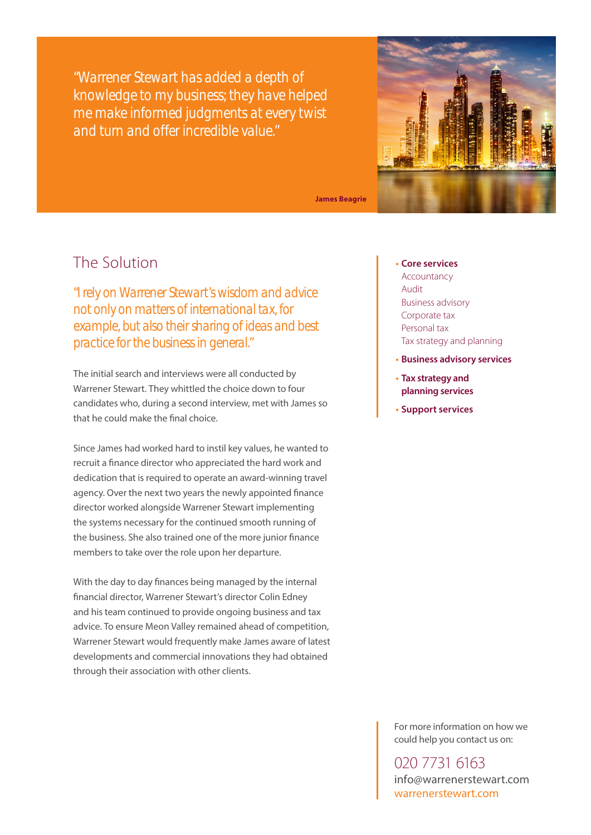*"Warrener Stewart has added a depth of knowledge to my business; they have helped me make informed judgments at every twist and turn and offer incredible value."*



**James Beagrie**

### The Solution

*"I rely on Warrener Stewart's wisdom and advice not only on matters of international tax, for example, but also their sharing of ideas and best practice for the business in general."*

The initial search and interviews were all conducted by Warrener Stewart. They whittled the choice down to four candidates who, during a second interview, met with James so that he could make the final choice.

Since James had worked hard to instil key values, he wanted to recruit a finance director who appreciated the hard work and dedication that is required to operate an award-winning travel agency. Over the next two years the newly appointed finance director worked alongside Warrener Stewart implementing the systems necessary for the continued smooth running of the business. She also trained one of the more junior finance members to take over the role upon her departure.

With the day to day finances being managed by the internal financial director, Warrener Stewart's director Colin Edney and his team continued to provide ongoing business and tax advice. To ensure Meon Valley remained ahead of competition, Warrener Stewart would frequently make James aware of latest developments and commercial innovations they had obtained through their association with other clients.

#### **• Core services**

- Accountancy Audit Business advisory Corporate tax Personal tax Tax strategy and planning
- **• Business advisory services**
- **• Tax strategy and planning services**
- **• Support services**

For more information on how we could help you contact us on:

020 7731 6163 info@warrenerstewart.com warrenerstewart.com